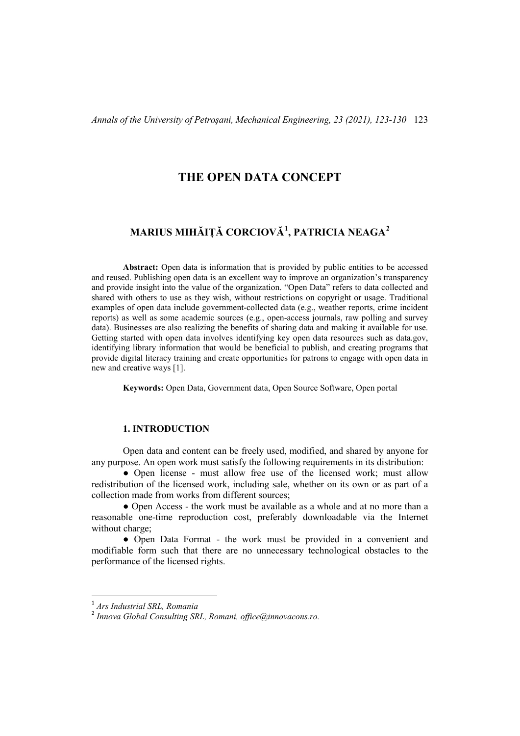## **THE OPEN DATA CONCEPT**

# **MARIUS MIHĂIȚĂ CORCIOVĂ[1](#page-0-0) , PATRICIA NEAGA[2](#page-0-1)**

**Abstract:** Open data is information that is provided by public entities to be accessed and reused. Publishing open data is an excellent way to improve an organization's transparency and provide insight into the value of the organization. "Open Data" refers to data collected and shared with others to use as they wish, without restrictions on copyright or usage. Traditional examples of open data include government-collected data (e.g., weather reports, crime incident reports) as well as some academic sources (e.g., open-access journals, raw polling and survey data). Businesses are also realizing the benefits of sharing data and making it available for use. Getting started with open data involves identifying key open data resources such as data.gov, identifying library information that would be beneficial to publish, and creating programs that provide digital literacy training and create opportunities for patrons to engage with open data in new and creative ways [1].

**Keywords:** Open Data, Government data, Open Source Software, Open portal

### **1. INTRODUCTION**

Open data and content can be freely used, modified, and shared by anyone for any purpose. An open work must satisfy the following requirements in its distribution:

• Open license - must allow free use of the licensed work; must allow redistribution of the licensed work, including sale, whether on its own or as part of a collection made from works from different sources;

● Open Access - the work must be available as a whole and at no more than a reasonable one-time reproduction cost, preferably downloadable via the Internet without charge;

● Open Data Format - the work must be provided in a convenient and modifiable form such that there are no unnecessary technological obstacles to the performance of the licensed rights.

<span id="page-0-0"></span> <sup>1</sup> *Ars Industrial SRL, Romania*

<span id="page-0-1"></span><sup>2</sup> *Innova Global Consulting SRL, Romani, office@innovacons.ro.*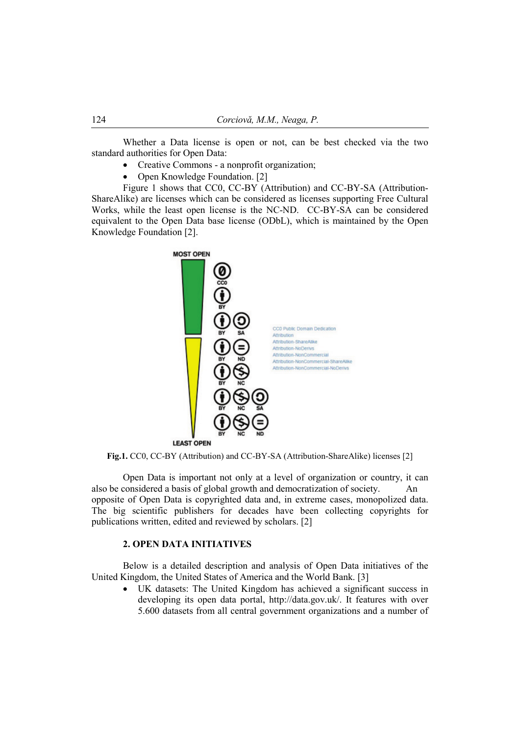Whether a Data license is open or not, can be best checked via the two standard authorities for Open Data:

- Creative Commons a nonprofit organization;
- Open Knowledge Foundation. [2]

Figure 1 shows that CC0, CC-BY (Attribution) and CC-BY-SA (Attribution-ShareAlike) are licenses which can be considered as licenses supporting Free Cultural Works, while the least open license is the NC-ND. CC-BY-SA can be considered equivalent to the Open Data base license (ODbL), which is maintained by the Open Knowledge Foundation [2].



**Fig.1.** CC0, CC-BY (Attribution) and CC-BY-SA (Attribution-ShareAlike) licenses [2]

Open Data is important not only at a level of organization or country, it can also be considered a basis of global growth and democratization of society. An opposite of Open Data is copyrighted data and, in extreme cases, monopolized data. The big scientific publishers for decades have been collecting copyrights for publications written, edited and reviewed by scholars. [2]

### **2. OPEN DATA INITIATIVES**

Below is a detailed description and analysis of Open Data initiatives of the United Kingdom, the United States of America and the World Bank. [3]

UK datasets: The United Kingdom has achieved a significant success in developing its open data portal, http://data.gov.uk/. It features with over 5.600 datasets from all central government organizations and a number of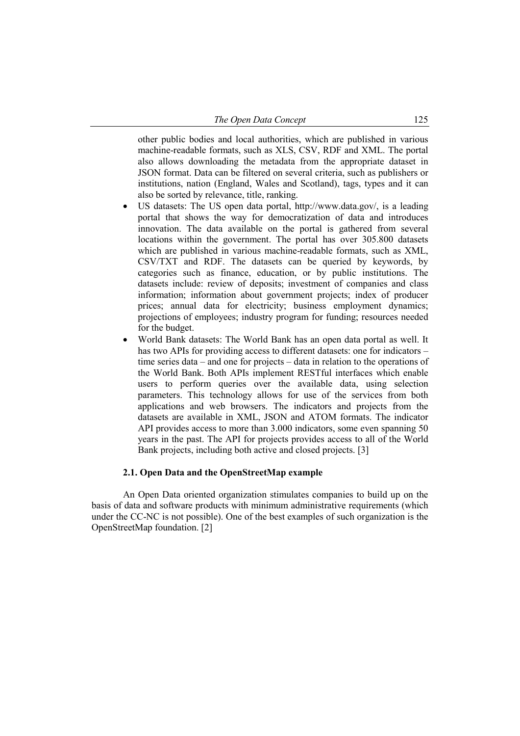other public bodies and local authorities, which are published in various machine-readable formats, such as XLS, CSV, RDF and XML. The portal also allows downloading the metadata from the appropriate dataset in JSON format. Data can be filtered on several criteria, such as publishers or institutions, nation (England, Wales and Scotland), tags, types and it can also be sorted by relevance, title, ranking.

- US datasets: The US open data portal, http://www.data.gov/, is a leading portal that shows the way for democratization of data and introduces innovation. The data available on the portal is gathered from several locations within the government. The portal has over 305.800 datasets which are published in various machine-readable formats, such as XML, CSV/TXT and RDF. The datasets can be queried by keywords, by categories such as finance, education, or by public institutions. The datasets include: review of deposits; investment of companies and class information; information about government projects; index of producer prices; annual data for electricity; business employment dynamics; projections of employees; industry program for funding; resources needed for the budget.
- World Bank datasets: The World Bank has an open data portal as well. It has two APIs for providing access to different datasets: one for indicators – time series data – and one for projects – data in relation to the operations of the World Bank. Both APIs implement RESTful interfaces which enable users to perform queries over the available data, using selection parameters. This technology allows for use of the services from both applications and web browsers. The indicators and projects from the datasets are available in XML, JSON and ATOM formats. The indicator API provides access to more than 3.000 indicators, some even spanning 50 years in the past. The API for projects provides access to all of the World Bank projects, including both active and closed projects. [3]

### **2.1. Open Data and the OpenStreetMap example**

An Open Data oriented organization stimulates companies to build up on the basis of data and software products with minimum administrative requirements (which under the CC-NC is not possible). One of the best examples of such organization is the OpenStreetMap foundation. [2]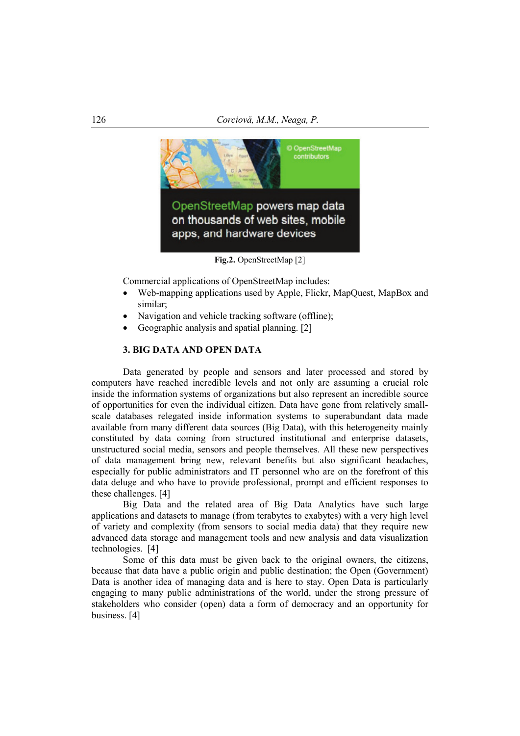

**Fig.2.** OpenStreetMap [2]

Commercial applications of OpenStreetMap includes:

- Web-mapping applications used by Apple, Flickr, MapQuest, MapBox and similar;
- Navigation and vehicle tracking software (offline);
- Geographic analysis and spatial planning. [2]

## **3. BIG DATA AND OPEN DATA**

Data generated by people and sensors and later processed and stored by computers have reached incredible levels and not only are assuming a crucial role inside the information systems of organizations but also represent an incredible source of opportunities for even the individual citizen. Data have gone from relatively smallscale databases relegated inside information systems to superabundant data made available from many different data sources (Big Data), with this heterogeneity mainly constituted by data coming from structured institutional and enterprise datasets, unstructured social media, sensors and people themselves. All these new perspectives of data management bring new, relevant benefits but also significant headaches, especially for public administrators and IT personnel who are on the forefront of this data deluge and who have to provide professional, prompt and efficient responses to these challenges. [4]

Big Data and the related area of Big Data Analytics have such large applications and datasets to manage (from terabytes to exabytes) with a very high level of variety and complexity (from sensors to social media data) that they require new advanced data storage and management tools and new analysis and data visualization technologies. [4]

Some of this data must be given back to the original owners, the citizens, because that data have a public origin and public destination; the Open (Government) Data is another idea of managing data and is here to stay. Open Data is particularly engaging to many public administrations of the world, under the strong pressure of stakeholders who consider (open) data a form of democracy and an opportunity for business. [4]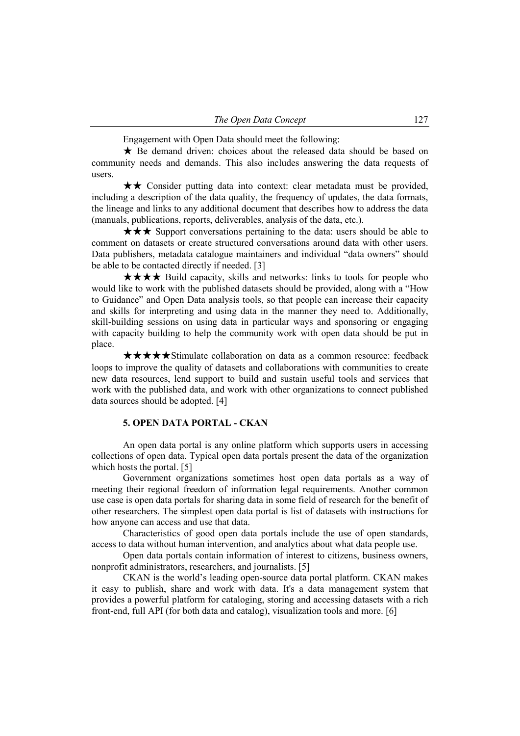Engagement with Open Data should meet the following:

★ Be demand driven: choices about the released data should be based on community needs and demands. This also includes answering the data requests of users.

★★ Consider putting data into context: clear metadata must be provided, including a description of the data quality, the frequency of updates, the data formats, the lineage and links to any additional document that describes how to address the data (manuals, publications, reports, deliverables, analysis of the data, etc.).

★★★ Support conversations pertaining to the data: users should be able to comment on datasets or create structured conversations around data with other users. Data publishers, metadata catalogue maintainers and individual "data owners" should be able to be contacted directly if needed. [3]

★★★★ Build capacity, skills and networks: links to tools for people who would like to work with the published datasets should be provided, along with a "How to Guidance" and Open Data analysis tools, so that people can increase their capacity and skills for interpreting and using data in the manner they need to. Additionally, skill-building sessions on using data in particular ways and sponsoring or engaging with capacity building to help the community work with open data should be put in place.

★★★★★Stimulate collaboration on data as a common resource: feedback loops to improve the quality of datasets and collaborations with communities to create new data resources, lend support to build and sustain useful tools and services that work with the published data, and work with other organizations to connect published data sources should be adopted. [4]

#### **5. OPEN DATA PORTAL - CKAN**

An open data portal is any online platform which supports users in accessing collections of open data. Typical open data portals present the data of the organization which hosts the portal. [5]

Government organizations sometimes host open data portals as a way of meeting their regional freedom of information legal requirements. Another common use case is open data portals for sharing data in some field of research for the benefit of other researchers. The simplest open data portal is list of datasets with instructions for how anyone can access and use that data.

Characteristics of good open data portals include the use of open standards, access to data without human intervention, and analytics about what data people use.

Open data portals contain information of interest to citizens, business owners, nonprofit administrators, researchers, and journalists. [5]

CKAN is the world's leading open-source data portal platform. CKAN makes it easy to publish, share and work with data. It's a data management system that provides a powerful platform for cataloging, storing and accessing datasets with a rich front-end, full API (for both data and catalog), visualization tools and more. [6]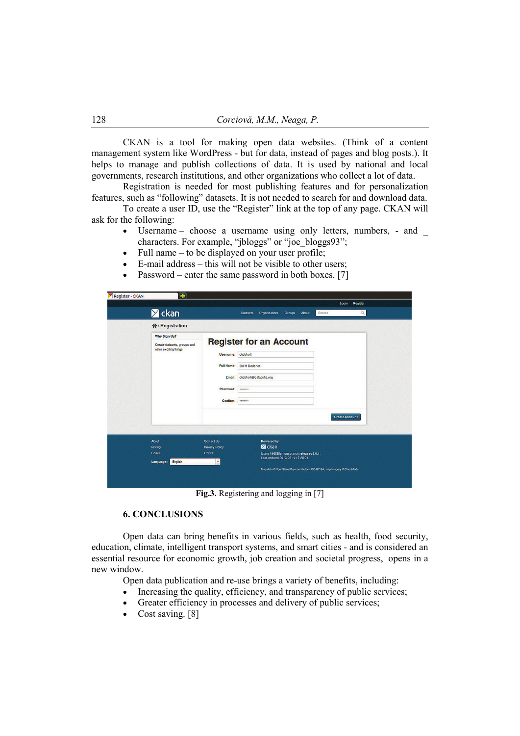CKAN is a tool for making open data websites. (Think of a content management system like WordPress - but for data, instead of pages and blog posts.). It helps to manage and publish collections of data. It is used by national and local governments, research institutions, and other organizations who collect a lot of data.

Registration is needed for most publishing features and for personalization features, such as "following" datasets. It is not needed to search for and download data.

To create a user ID, use the "Register" link at the top of any page. CKAN will ask for the following:

- Username choose a username using only letters, numbers, and characters. For example, "jbloggs" or "joe\_bloggs93";
- Full name  $-$  to be displayed on your user profile;
- E-mail address this will not be visible to other users;
- Password enter the same password in both boxes. [7]

| <b>Z</b> ckan                                        |                       | <b>About</b><br><b>Datasets</b><br>Organizations<br>Groups                     | Log in Register<br>Search<br>Q |
|------------------------------------------------------|-----------------------|--------------------------------------------------------------------------------|--------------------------------|
| <b>备/Registration</b>                                |                       |                                                                                |                                |
| Why Sign Up?                                         |                       |                                                                                |                                |
| Create datasets, groups and<br>other exciting things |                       | <b>Register for an Account</b>                                                 |                                |
|                                                      | <b>Username:</b>      | dedshott                                                                       |                                |
|                                                      | <b>Full Name:</b>     | Col H Dedshott                                                                 |                                |
|                                                      | Email:                | dedshott@catapults.org                                                         |                                |
|                                                      |                       |                                                                                |                                |
|                                                      | Password:             |                                                                                |                                |
|                                                      | Confirm:              |                                                                                |                                |
| About                                                | Contact Us            | Powered by                                                                     | <b>Create Account</b>          |
| Pricing                                              | <b>Privacy Policy</b> | <b>Z</b> ckan                                                                  |                                |
| CKAN<br>English                                      | <b>OKFN</b><br>v.     | Using 416535c from branch release-v2.0.1.<br>Last updated 2013-06-14 17:25:04. |                                |
| Language:                                            |                       | Map data O OpenStreetMap contributors, CC-BY-SA, map imagery O CloudMade       |                                |

**Fig.3.** Registering and logging in [7]

### **6. CONCLUSIONS**

Open data can bring benefits in various fields, such as health, food security, education, climate, intelligent transport systems, and smart cities - and is considered [an](https://ec.europa.eu/digital-single-market/en/policies/building-european-data-economy)  [essential resource for economic growth, job creation and societal progress,](https://ec.europa.eu/digital-single-market/en/policies/building-european-data-economy) opens in a new [window.](https://ec.europa.eu/digital-single-market/en/policies/building-european-data-economy)

Open data publication and re-use brings a variety of benefits, including:

- Increasing the quality, efficiency, and transparency of public services;
- Greater efficiency in processes and delivery of public services;
- Cost saving. [8]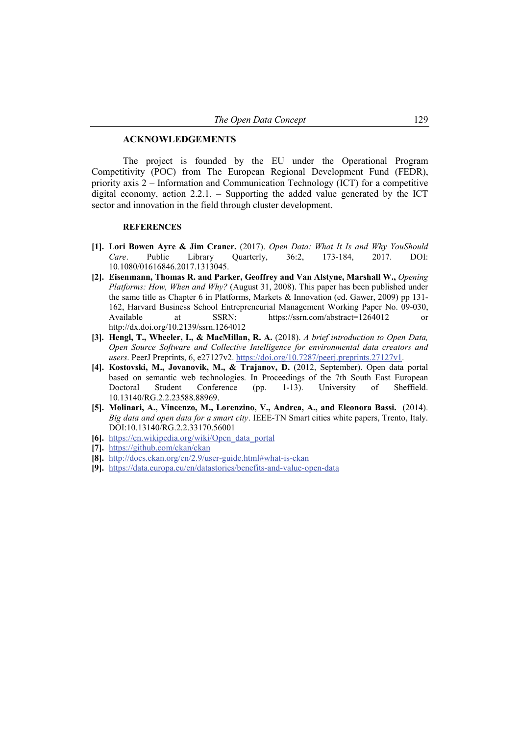#### **ACKNOWLEDGEMENTS**

The project is founded by the EU under the Operational Program Competitivity (POC) from The European Regional Development Fund (FEDR), priority axis 2 – Information and Communication Technology (ICT) for a competitive digital economy, action 2.2.1. – Supporting the added value generated by the ICT sector and innovation in the field through cluster development.

#### **REFERENCES**

- **[1]. Lori Bowen Ayre & Jim Craner.** (2017). *Open Data: What It Is and Why YouShould Care*. Public Library Quarterly, 36:2, 173-184, 2017. DOI: 10.1080/01616846.2017.1313045.
- **[2]. Eisenmann, Thomas R. and Parker, Geoffrey and Van Alstyne, Marshall W.,** *Opening Platforms: How, When and Why?* (August 31, 2008). This paper has been published under the same title as Chapter 6 in Platforms, Markets & Innovation (ed. Gawer, 2009) pp 131- 162, Harvard Business School Entrepreneurial Management Working Paper No. 09-030, Available at SSRN: https://ssrn.com/abstract=1264012 or http://dx.doi.org/10.2139/ssrn.1264012
- **[3]. Hengl, T., Wheeler, I., & MacMillan, R. A.** (2018). *A brief introduction to Open Data, Open Source Software and Collective Intelligence for environmental data creators and users*. PeerJ Preprints, 6, e27127v2. <https://doi.org/10.7287/peerj.preprints.27127v1>.
- **[4]. Kostovski, M., Jovanovik, M., & Trajanov, D.** (2012, September). Open data portal based on semantic web technologies. In Proceedings of the 7th South East European Doctoral Student Conference (pp. 1-13). University of Sheffield. 10.13140/RG.2.2.23588.88969.
- **[5]. Molinari, A., Vincenzo, M., Lorenzino, V., Andrea, A., and Eleonora Bassi.** (2014). *Big data and open data for a smart city*. IEEE-TN Smart cities white papers, Trento, Italy. DOI:10.13140/RG.2.2.33170.56001
- **[6].** [https://en.wikipedia.org/wiki/Open\\_data\\_portal](https://en.wikipedia.org/wiki/Open_data_portal)
- **[7].** <https://github.com/ckan/ckan>
- **[8].** [http://docs.ckan.org/en/2.9/user](http://docs.ckan.org/en/2.9/user-guide.html#what-is-ckan)-guide.html#what-is-ckan
- **[9].** <https://data.europa.eu/en/datastories/benefits-and-value-open-data>